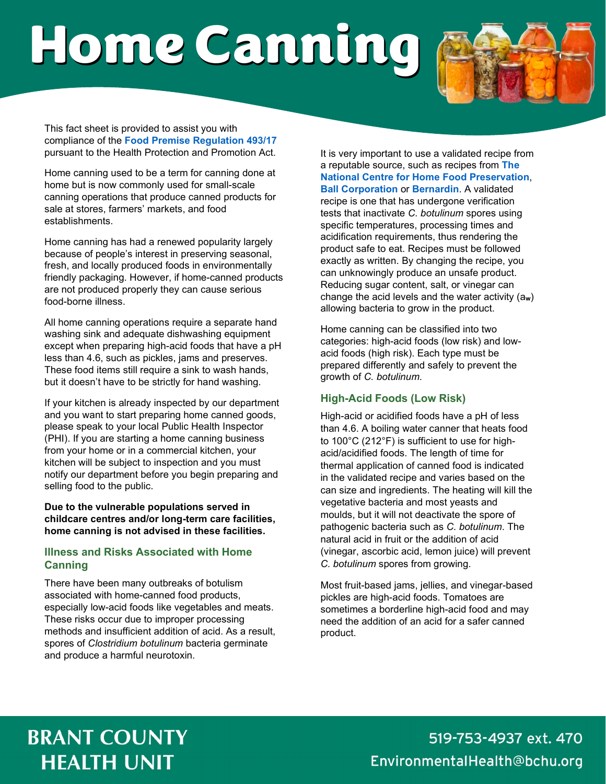# Home Canning



This fact sheet is provided to assist you with compliance of the **[Food Premise Regulation 493/17](https://www.ontario.ca/laws/regulation/r17493)** pursuant to the Health Protection and Promotion Act.

Home canning used to be a term for canning done at home but is now commonly used for small-scale canning operations that produce canned products for sale at stores, farmers' markets, and food establishments.

Home canning has had a renewed popularity largely because of people's interest in preserving seasonal, fresh, and locally produced foods in environmentally friendly packaging. However, if home-canned products are not produced properly they can cause serious food-borne illness.

All home canning operations require a separate hand washing sink and adequate dishwashing equipment except when preparing high-acid foods that have a pH less than 4.6, such as pickles, jams and preserves. These food items still require a sink to wash hands, but it doesn't have to be strictly for hand washing.

If your kitchen is already inspected by our department and you want to start preparing home canned goods, please speak to your local Public Health Inspector (PHI). If you are starting a home canning business from your home or in a commercial kitchen, your kitchen will be subject to inspection and you must notify our department before you begin preparing and selling food to the public.

**Due to the vulnerable populations served in childcare centres and/or long-term care facilities, home canning is not advised in these facilities.** 

#### **Illness and Risks Associated with Home Canning**

There have been many outbreaks of botulism associated with home-canned food products, especially low-acid foods like vegetables and meats. These risks occur due to improper processing methods and insufficient addition of acid. As a result, spores of *Clostridium botulinum* bacteria germinate and produce a harmful neurotoxin.

It is very important to use a validated recipe from a reputable source, such as recipes from **[The](https://nchfp.uga.edu/)  [National Centre for Home Food Preservation](https://nchfp.uga.edu/)**, **[Ball Corporation](https://www.ballmasonjars.com/)** or **[Bernardin](https://www.bernardin.ca/recipes/default.htm?Lang=EN-US&)**. A validated recipe is one that has undergone verification tests that inactivate *C. botulinum* spores using specific temperatures, processing times and acidification requirements, thus rendering the product safe to eat. Recipes must be followed exactly as written. By changing the recipe, you can unknowingly produce an unsafe product. Reducing sugar content, salt, or vinegar can change the acid levels and the water activity (a**w**) allowing bacteria to grow in the product.

Home canning can be classified into two categories: high-acid foods (low risk) and lowacid foods (high risk). Each type must be prepared differently and safely to prevent the growth of *C. botulinum*.

### **High-Acid Foods (Low Risk)**

High-acid or acidified foods have a pH of less than 4.6. A boiling water canner that heats food to 100°C (212°F) is sufficient to use for highacid/acidified foods. The length of time for thermal application of canned food is indicated in the validated recipe and varies based on the can size and ingredients. The heating will kill the vegetative bacteria and most yeasts and moulds, but it will not deactivate the spore of pathogenic bacteria such as *C. botulinum*. The natural acid in fruit or the addition of acid (vinegar, ascorbic acid, lemon juice) will prevent *C. botulinum* spores from growing.

Most fruit-based jams, jellies, and vinegar-based pickles are high-acid foods. Tomatoes are sometimes a borderline high-acid food and may need the addition of an acid for a safer canned product.

## **BRANT COUNTY HEALTH UNIT**

519-753-4937 ext. 470 EnvironmentalHealth@bchu.org